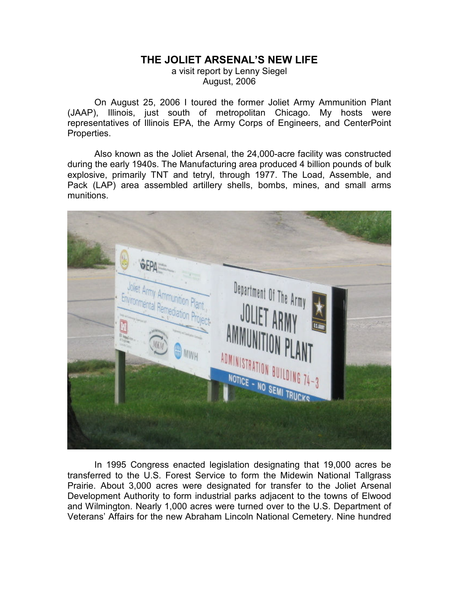## THE JOLIET ARSENAL'S NEW LIFE

a visit report by Lenny Siegel August, 2006

On August 25, 2006 I toured the former Joliet Army Ammunition Plant (JAAP), Illinois, just south of metropolitan Chicago. My hosts were representatives of Illinois EPA, the Army Corps of Engineers, and CenterPoint Properties.

Also known as the Joliet Arsenal, the 24,000-acre facility was constructed during the early 1940s. The Manufacturing area produced 4 billion pounds of bulk explosive, primarily TNT and tetryl, through 1977. The Load, Assemble, and Pack (LAP) area assembled artillery shells, bombs, mines, and small arms munitions.



In 1995 Congress enacted legislation designating that 19,000 acres be transferred to the U.S. Forest Service to form the Midewin National Tallgrass Prairie. About 3,000 acres were designated for transfer to the Joliet Arsenal Development Authority to form industrial parks adjacent to the towns of Elwood and Wilmington. Nearly 1,000 acres were turned over to the U.S. Department of Veterans' Affairs for the new Abraham Lincoln National Cemetery. Nine hundred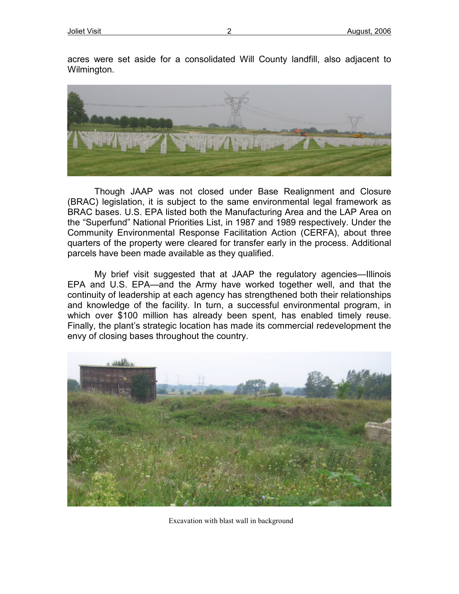acres were set aside for a consolidated Will County landfill, also adjacent to Wilmington.



Though JAAP was not closed under Base Realignment and Closure (BRAC) legislation, it is subject to the same environmental legal framework as BRAC bases. U.S. EPA listed both the Manufacturing Area and the LAP Area on the "Superfund" National Priorities List, in 1987 and 1989 respectively. Under the Community Environmental Response Facilitation Action (CERFA), about three quarters of the property were cleared for transfer early in the process. Additional parcels have been made available as they qualified.

My brief visit suggested that at JAAP the regulatory agencies—Illinois EPA and U.S. EPA—and the Army have worked together well, and that the continuity of leadership at each agency has strengthened both their relationships and knowledge of the facility. In turn, a successful environmental program, in which over \$100 million has already been spent, has enabled timely reuse. Finally, the plant's strategic location has made its commercial redevelopment the envy of closing bases throughout the country.



Excavation with blast wall in background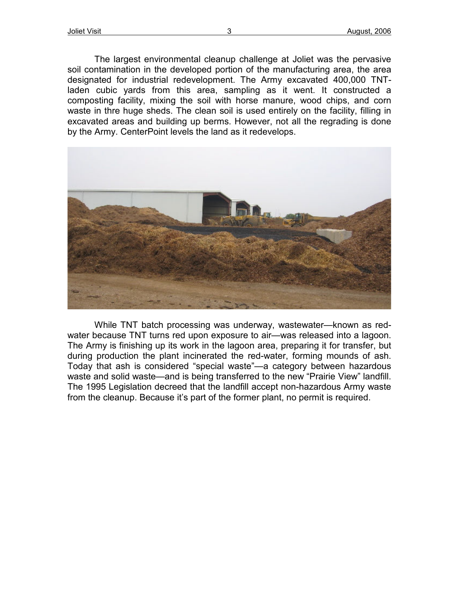The largest environmental cleanup challenge at Joliet was the pervasive soil contamination in the developed portion of the manufacturing area, the area designated for industrial redevelopment. The Army excavated 400,000 TNTladen cubic yards from this area, sampling as it went. It constructed a composting facility, mixing the soil with horse manure, wood chips, and corn waste in thre huge sheds. The clean soil is used entirely on the facility, filling in excavated areas and building up berms. However, not all the regrading is done by the Army. CenterPoint levels the land as it redevelops.



While TNT batch processing was underway, wastewater—known as redwater because TNT turns red upon exposure to air—was released into a lagoon. The Army is finishing up its work in the lagoon area, preparing it for transfer, but during production the plant incinerated the red-water, forming mounds of ash. Today that ash is considered "special waste"—a category between hazardous waste and solid waste—and is being transferred to the new "Prairie View" landfill. The 1995 Legislation decreed that the landfill accept non-hazardous Army waste from the cleanup. Because it's part of the former plant, no permit is required.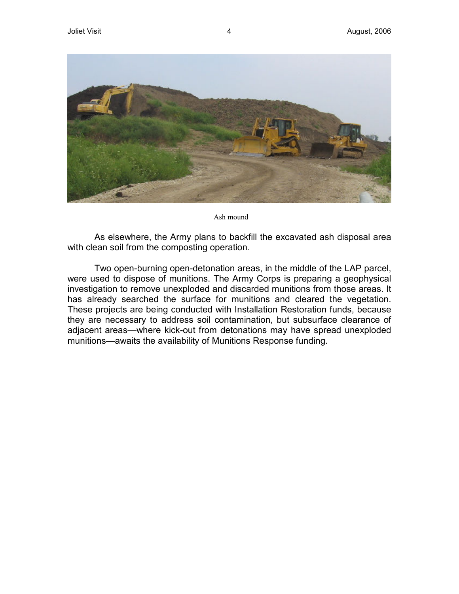

Ash mound

As elsewhere, the Army plans to backfill the excavated ash disposal area with clean soil from the composting operation.

Two open-burning open-detonation areas, in the middle of the LAP parcel, were used to dispose of munitions. The Army Corps is preparing a geophysical investigation to remove unexploded and discarded munitions from those areas. It has already searched the surface for munitions and cleared the vegetation. These projects are being conducted with Installation Restoration funds, because they are necessary to address soil contamination, but subsurface clearance of adjacent areas—where kick-out from detonations may have spread unexploded munitions—awaits the availability of Munitions Response funding.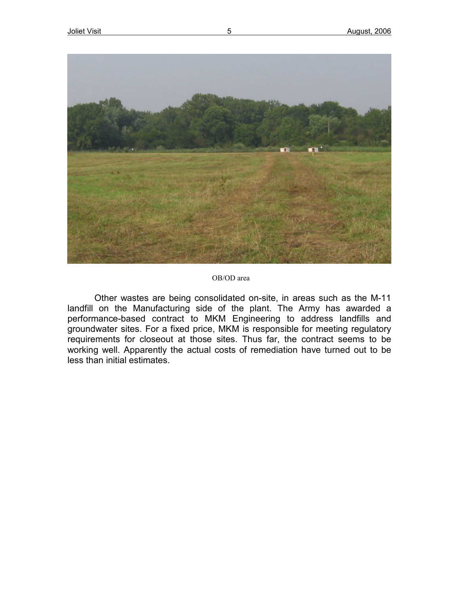

## OB/OD area

Other wastes are being consolidated on-site, in areas such as the M-11 landfill on the Manufacturing side of the plant. The Army has awarded a performance-based contract to MKM Engineering to address landfills and groundwater sites. For a fixed price, MKM is responsible for meeting regulatory requirements for closeout at those sites. Thus far, the contract seems to be working well. Apparently the actual costs of remediation have turned out to be less than initial estimates.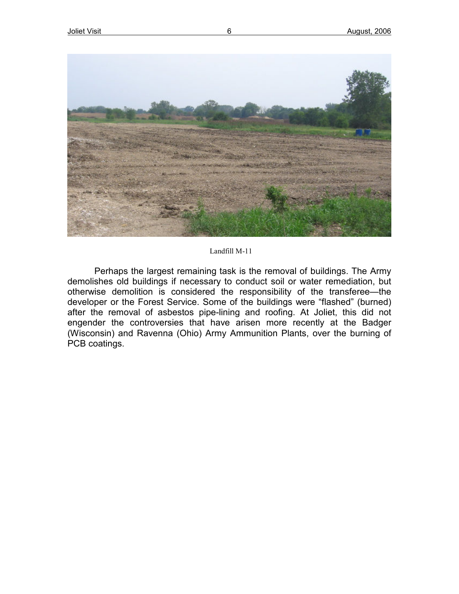

## Landfill M-11

Perhaps the largest remaining task is the removal of buildings. The Army demolishes old buildings if necessary to conduct soil or water remediation, but otherwise demolition is considered the responsibility of the transferee—the developer or the Forest Service. Some of the buildings were "flashed" (burned) after the removal of asbestos pipe-lining and roofing. At Joliet, this did not engender the controversies that have arisen more recently at the Badger (Wisconsin) and Ravenna (Ohio) Army Ammunition Plants, over the burning of PCB coatings.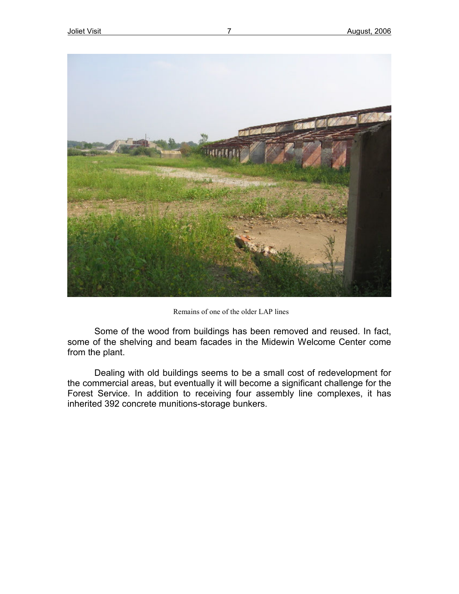

Remains of one of the older LAP lines

Some of the wood from buildings has been removed and reused. In fact, some of the shelving and beam facades in the Midewin Welcome Center come from the plant.

Dealing with old buildings seems to be a small cost of redevelopment for the commercial areas, but eventually it will become a significant challenge for the Forest Service. In addition to receiving four assembly line complexes, it has inherited 392 concrete munitions-storage bunkers.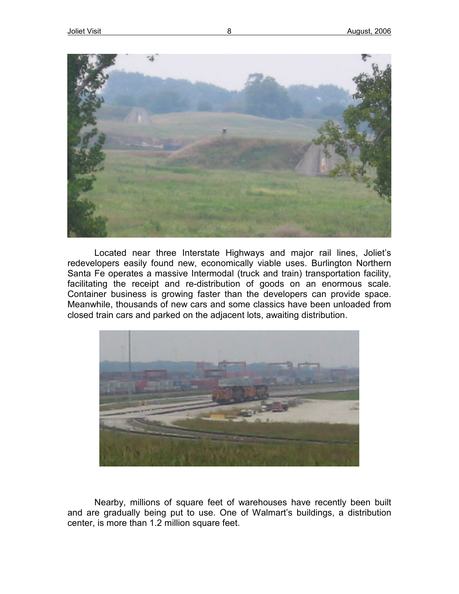

Located near three Interstate Highways and major rail lines, Joliet's redevelopers easily found new, economically viable uses. Burlington Northern Santa Fe operates a massive Intermodal (truck and train) transportation facility, facilitating the receipt and re-distribution of goods on an enormous scale. Container business is growing faster than the developers can provide space. Meanwhile, thousands of new cars and some classics have been unloaded from closed train cars and parked on the adjacent lots, awaiting distribution.



Nearby, millions of square feet of warehouses have recently been built and are gradually being put to use. One of Walmart's buildings, a distribution center, is more than 1.2 million square feet.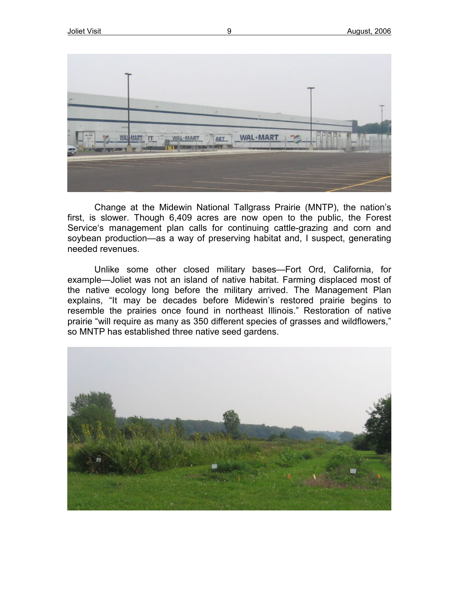

Change at the Midewin National Tallgrass Prairie (MNTP), the nation's first, is slower. Though 6,409 acres are now open to the public, the Forest Service's management plan calls for continuing cattle-grazing and corn and soybean production—as a way of preserving habitat and, I suspect, generating needed revenues.

Unlike some other closed military bases—Fort Ord, California, for example—Joliet was not an island of native habitat. Farming displaced most of the native ecology long before the military arrived. The Management Plan explains, "It may be decades before Midewin's restored prairie begins to resemble the prairies once found in northeast Illinois." Restoration of native prairie "will require as many as 350 different species of grasses and wildflowers," so MNTP has established three native seed gardens.